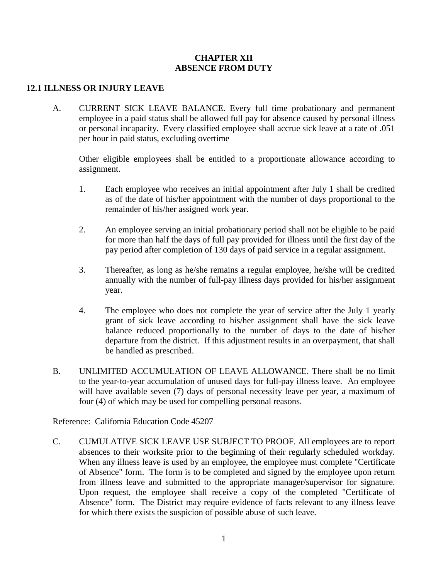## **CHAPTER XII ABSENCE FROM DUTY**

## **12.1 ILLNESS OR INJURY LEAVE**

A. CURRENT SICK LEAVE BALANCE. Every full time probationary and permanent employee in a paid status shall be allowed full pay for absence caused by personal illness or personal incapacity. Every classified employee shall accrue sick leave at a rate of .051 per hour in paid status, excluding overtime

Other eligible employees shall be entitled to a proportionate allowance according to assignment.

- 1. Each employee who receives an initial appointment after July 1 shall be credited as of the date of his/her appointment with the number of days proportional to the remainder of his/her assigned work year.
- 2. An employee serving an initial probationary period shall not be eligible to be paid for more than half the days of full pay provided for illness until the first day of the pay period after completion of 130 days of paid service in a regular assignment.
- 3. Thereafter, as long as he/she remains a regular employee, he/she will be credited annually with the number of full-pay illness days provided for his/her assignment year.
- 4. The employee who does not complete the year of service after the July 1 yearly grant of sick leave according to his/her assignment shall have the sick leave balance reduced proportionally to the number of days to the date of his/her departure from the district. If this adjustment results in an overpayment, that shall be handled as prescribed.
- B. UNLIMITED ACCUMULATION OF LEAVE ALLOWANCE. There shall be no limit to the year-to-year accumulation of unused days for full-pay illness leave. An employee will have available seven (7) days of personal necessity leave per year, a maximum of four (4) of which may be used for compelling personal reasons.

Reference: California Education Code 45207

C. CUMULATIVE SICK LEAVE USE SUBJECT TO PROOF. All employees are to report absences to their worksite prior to the beginning of their regularly scheduled workday. When any illness leave is used by an employee, the employee must complete "Certificate of Absence" form. The form is to be completed and signed by the employee upon return from illness leave and submitted to the appropriate manager/supervisor for signature. Upon request, the employee shall receive a copy of the completed "Certificate of Absence" form. The District may require evidence of facts relevant to any illness leave for which there exists the suspicion of possible abuse of such leave.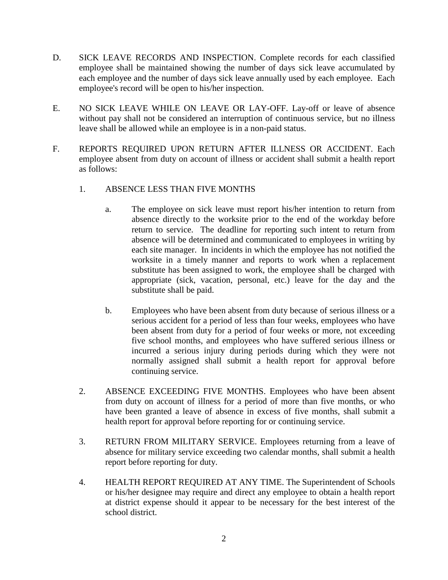- D. SICK LEAVE RECORDS AND INSPECTION. Complete records for each classified employee shall be maintained showing the number of days sick leave accumulated by each employee and the number of days sick leave annually used by each employee. Each employee's record will be open to his/her inspection.
- E. NO SICK LEAVE WHILE ON LEAVE OR LAY-OFF. Lay-off or leave of absence without pay shall not be considered an interruption of continuous service, but no illness leave shall be allowed while an employee is in a non-paid status.
- F. REPORTS REQUIRED UPON RETURN AFTER ILLNESS OR ACCIDENT. Each employee absent from duty on account of illness or accident shall submit a health report as follows:
	- 1. ABSENCE LESS THAN FIVE MONTHS
		- a. The employee on sick leave must report his/her intention to return from absence directly to the worksite prior to the end of the workday before return to service. The deadline for reporting such intent to return from absence will be determined and communicated to employees in writing by each site manager. In incidents in which the employee has not notified the worksite in a timely manner and reports to work when a replacement substitute has been assigned to work, the employee shall be charged with appropriate (sick, vacation, personal, etc.) leave for the day and the substitute shall be paid.
		- b. Employees who have been absent from duty because of serious illness or a serious accident for a period of less than four weeks, employees who have been absent from duty for a period of four weeks or more, not exceeding five school months, and employees who have suffered serious illness or incurred a serious injury during periods during which they were not normally assigned shall submit a health report for approval before continuing service.
	- 2. ABSENCE EXCEEDING FIVE MONTHS. Employees who have been absent from duty on account of illness for a period of more than five months, or who have been granted a leave of absence in excess of five months, shall submit a health report for approval before reporting for or continuing service.
	- 3. RETURN FROM MILITARY SERVICE. Employees returning from a leave of absence for military service exceeding two calendar months, shall submit a health report before reporting for duty.
	- 4. HEALTH REPORT REQUIRED AT ANY TIME. The Superintendent of Schools or his/her designee may require and direct any employee to obtain a health report at district expense should it appear to be necessary for the best interest of the school district.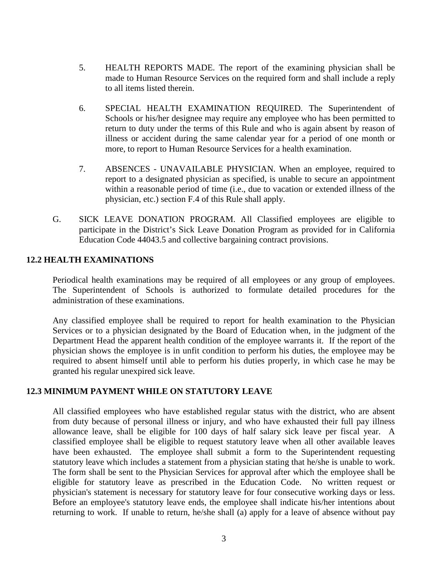- 5. HEALTH REPORTS MADE. The report of the examining physician shall be made to Human Resource Services on the required form and shall include a reply to all items listed therein.
- 6. SPECIAL HEALTH EXAMINATION REQUIRED. The Superintendent of Schools or his/her designee may require any employee who has been permitted to return to duty under the terms of this Rule and who is again absent by reason of illness or accident during the same calendar year for a period of one month or more, to report to Human Resource Services for a health examination.
- 7. ABSENCES UNAVAILABLE PHYSICIAN. When an employee, required to report to a designated physician as specified, is unable to secure an appointment within a reasonable period of time (i.e., due to vacation or extended illness of the physician, etc.) section F.4 of this Rule shall apply.
- G. SICK LEAVE DONATION PROGRAM. All Classified employees are eligible to participate in the District's Sick Leave Donation Program as provided for in California Education Code 44043.5 and collective bargaining contract provisions.

## **12.2 HEALTH EXAMINATIONS**

Periodical health examinations may be required of all employees or any group of employees. The Superintendent of Schools is authorized to formulate detailed procedures for the administration of these examinations.

Any classified employee shall be required to report for health examination to the Physician Services or to a physician designated by the Board of Education when, in the judgment of the Department Head the apparent health condition of the employee warrants it. If the report of the physician shows the employee is in unfit condition to perform his duties, the employee may be required to absent himself until able to perform his duties properly, in which case he may be granted his regular unexpired sick leave.

### **12.3 MINIMUM PAYMENT WHILE ON STATUTORY LEAVE**

All classified employees who have established regular status with the district, who are absent from duty because of personal illness or injury, and who have exhausted their full pay illness allowance leave, shall be eligible for 100 days of half salary sick leave per fiscal year. A classified employee shall be eligible to request statutory leave when all other available leaves have been exhausted. The employee shall submit a form to the Superintendent requesting statutory leave which includes a statement from a physician stating that he/she is unable to work. The form shall be sent to the Physician Services for approval after which the employee shall be eligible for statutory leave as prescribed in the Education Code. No written request or physician's statement is necessary for statutory leave for four consecutive working days or less. Before an employee's statutory leave ends, the employee shall indicate his/her intentions about returning to work. If unable to return, he/she shall (a) apply for a leave of absence without pay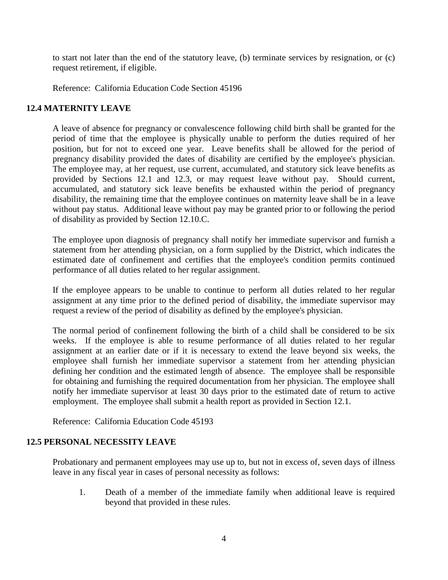to start not later than the end of the statutory leave, (b) terminate services by resignation, or (c) request retirement, if eligible.

Reference: California Education Code Section 45196

## **12.4 MATERNITY LEAVE**

A leave of absence for pregnancy or convalescence following child birth shall be granted for the period of time that the employee is physically unable to perform the duties required of her position, but for not to exceed one year. Leave benefits shall be allowed for the period of pregnancy disability provided the dates of disability are certified by the employee's physician. The employee may, at her request, use current, accumulated, and statutory sick leave benefits as provided by Sections 12.1 and 12.3, or may request leave without pay. Should current, accumulated, and statutory sick leave benefits be exhausted within the period of pregnancy disability, the remaining time that the employee continues on maternity leave shall be in a leave without pay status. Additional leave without pay may be granted prior to or following the period of disability as provided by Section 12.10.C.

The employee upon diagnosis of pregnancy shall notify her immediate supervisor and furnish a statement from her attending physician, on a form supplied by the District, which indicates the estimated date of confinement and certifies that the employee's condition permits continued performance of all duties related to her regular assignment.

If the employee appears to be unable to continue to perform all duties related to her regular assignment at any time prior to the defined period of disability, the immediate supervisor may request a review of the period of disability as defined by the employee's physician.

The normal period of confinement following the birth of a child shall be considered to be six weeks. If the employee is able to resume performance of all duties related to her regular assignment at an earlier date or if it is necessary to extend the leave beyond six weeks, the employee shall furnish her immediate supervisor a statement from her attending physician defining her condition and the estimated length of absence. The employee shall be responsible for obtaining and furnishing the required documentation from her physician. The employee shall notify her immediate supervisor at least 30 days prior to the estimated date of return to active employment. The employee shall submit a health report as provided in Section 12.1.

Reference: California Education Code 45193

### **12.5 PERSONAL NECESSITY LEAVE**

Probationary and permanent employees may use up to, but not in excess of, seven days of illness leave in any fiscal year in cases of personal necessity as follows:

1. Death of a member of the immediate family when additional leave is required beyond that provided in these rules.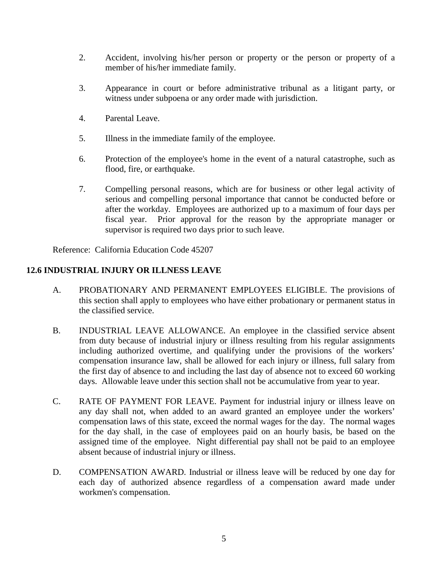- 2. Accident, involving his/her person or property or the person or property of a member of his/her immediate family.
- 3. Appearance in court or before administrative tribunal as a litigant party, or witness under subpoena or any order made with jurisdiction.
- 4. Parental Leave.
- 5. Illness in the immediate family of the employee.
- 6. Protection of the employee's home in the event of a natural catastrophe, such as flood, fire, or earthquake.
- 7. Compelling personal reasons, which are for business or other legal activity of serious and compelling personal importance that cannot be conducted before or after the workday. Employees are authorized up to a maximum of four days per fiscal year. Prior approval for the reason by the appropriate manager or supervisor is required two days prior to such leave.

Reference: California Education Code 45207

# **12.6 INDUSTRIAL INJURY OR ILLNESS LEAVE**

- A. PROBATIONARY AND PERMANENT EMPLOYEES ELIGIBLE. The provisions of this section shall apply to employees who have either probationary or permanent status in the classified service.
- B. INDUSTRIAL LEAVE ALLOWANCE. An employee in the classified service absent from duty because of industrial injury or illness resulting from his regular assignments including authorized overtime, and qualifying under the provisions of the workers' compensation insurance law, shall be allowed for each injury or illness, full salary from the first day of absence to and including the last day of absence not to exceed 60 working days. Allowable leave under this section shall not be accumulative from year to year.
- C. RATE OF PAYMENT FOR LEAVE. Payment for industrial injury or illness leave on any day shall not, when added to an award granted an employee under the workers' compensation laws of this state, exceed the normal wages for the day. The normal wages for the day shall, in the case of employees paid on an hourly basis, be based on the assigned time of the employee. Night differential pay shall not be paid to an employee absent because of industrial injury or illness.
- D. COMPENSATION AWARD. Industrial or illness leave will be reduced by one day for each day of authorized absence regardless of a compensation award made under workmen's compensation.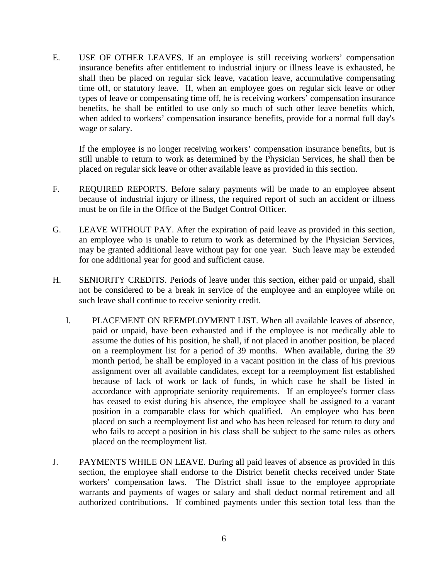E. USE OF OTHER LEAVES. If an employee is still receiving workers' compensation insurance benefits after entitlement to industrial injury or illness leave is exhausted, he shall then be placed on regular sick leave, vacation leave, accumulative compensating time off, or statutory leave. If, when an employee goes on regular sick leave or other types of leave or compensating time off, he is receiving workers' compensation insurance benefits, he shall be entitled to use only so much of such other leave benefits which, when added to workers' compensation insurance benefits, provide for a normal full day's wage or salary.

If the employee is no longer receiving workers' compensation insurance benefits, but is still unable to return to work as determined by the Physician Services, he shall then be placed on regular sick leave or other available leave as provided in this section.

- F. REQUIRED REPORTS. Before salary payments will be made to an employee absent because of industrial injury or illness, the required report of such an accident or illness must be on file in the Office of the Budget Control Officer.
- G. LEAVE WITHOUT PAY. After the expiration of paid leave as provided in this section, an employee who is unable to return to work as determined by the Physician Services, may be granted additional leave without pay for one year. Such leave may be extended for one additional year for good and sufficient cause.
- H. SENIORITY CREDITS. Periods of leave under this section, either paid or unpaid, shall not be considered to be a break in service of the employee and an employee while on such leave shall continue to receive seniority credit.
	- I. PLACEMENT ON REEMPLOYMENT LIST. When all available leaves of absence, paid or unpaid, have been exhausted and if the employee is not medically able to assume the duties of his position, he shall, if not placed in another position, be placed on a reemployment list for a period of 39 months. When available, during the 39 month period, he shall be employed in a vacant position in the class of his previous assignment over all available candidates, except for a reemployment list established because of lack of work or lack of funds, in which case he shall be listed in accordance with appropriate seniority requirements. If an employee's former class has ceased to exist during his absence, the employee shall be assigned to a vacant position in a comparable class for which qualified. An employee who has been placed on such a reemployment list and who has been released for return to duty and who fails to accept a position in his class shall be subject to the same rules as others placed on the reemployment list.
- J. PAYMENTS WHILE ON LEAVE. During all paid leaves of absence as provided in this section, the employee shall endorse to the District benefit checks received under State workers' compensation laws. The District shall issue to the employee appropriate warrants and payments of wages or salary and shall deduct normal retirement and all authorized contributions. If combined payments under this section total less than the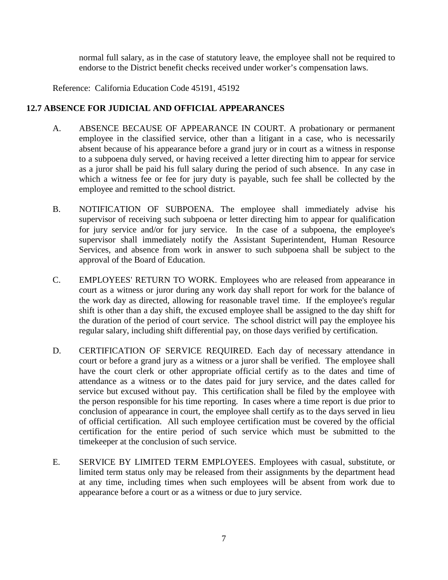normal full salary, as in the case of statutory leave, the employee shall not be required to endorse to the District benefit checks received under worker's compensation laws.

Reference: California Education Code 45191, 45192

## **12.7 ABSENCE FOR JUDICIAL AND OFFICIAL APPEARANCES**

- A. ABSENCE BECAUSE OF APPEARANCE IN COURT. A probationary or permanent employee in the classified service, other than a litigant in a case, who is necessarily absent because of his appearance before a grand jury or in court as a witness in response to a subpoena duly served, or having received a letter directing him to appear for service as a juror shall be paid his full salary during the period of such absence. In any case in which a witness fee or fee for jury duty is payable, such fee shall be collected by the employee and remitted to the school district.
- B. NOTIFICATION OF SUBPOENA. The employee shall immediately advise his supervisor of receiving such subpoena or letter directing him to appear for qualification for jury service and/or for jury service. In the case of a subpoena, the employee's supervisor shall immediately notify the Assistant Superintendent, Human Resource Services, and absence from work in answer to such subpoena shall be subject to the approval of the Board of Education.
- C. EMPLOYEES' RETURN TO WORK. Employees who are released from appearance in court as a witness or juror during any work day shall report for work for the balance of the work day as directed, allowing for reasonable travel time. If the employee's regular shift is other than a day shift, the excused employee shall be assigned to the day shift for the duration of the period of court service. The school district will pay the employee his regular salary, including shift differential pay, on those days verified by certification.
- D. CERTIFICATION OF SERVICE REQUIRED. Each day of necessary attendance in court or before a grand jury as a witness or a juror shall be verified. The employee shall have the court clerk or other appropriate official certify as to the dates and time of attendance as a witness or to the dates paid for jury service, and the dates called for service but excused without pay. This certification shall be filed by the employee with the person responsible for his time reporting. In cases where a time report is due prior to conclusion of appearance in court, the employee shall certify as to the days served in lieu of official certification. All such employee certification must be covered by the official certification for the entire period of such service which must be submitted to the timekeeper at the conclusion of such service.
- E. SERVICE BY LIMITED TERM EMPLOYEES. Employees with casual, substitute, or limited term status only may be released from their assignments by the department head at any time, including times when such employees will be absent from work due to appearance before a court or as a witness or due to jury service.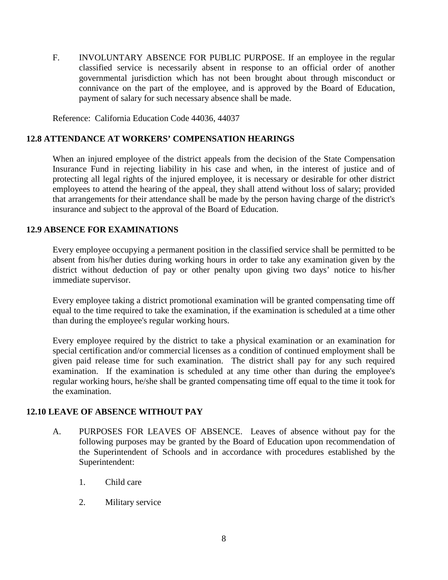F. INVOLUNTARY ABSENCE FOR PUBLIC PURPOSE. If an employee in the regular classified service is necessarily absent in response to an official order of another governmental jurisdiction which has not been brought about through misconduct or connivance on the part of the employee, and is approved by the Board of Education, payment of salary for such necessary absence shall be made.

Reference: California Education Code 44036, 44037

### **12.8 ATTENDANCE AT WORKERS' COMPENSATION HEARINGS**

When an injured employee of the district appeals from the decision of the State Compensation Insurance Fund in rejecting liability in his case and when, in the interest of justice and of protecting all legal rights of the injured employee, it is necessary or desirable for other district employees to attend the hearing of the appeal, they shall attend without loss of salary; provided that arrangements for their attendance shall be made by the person having charge of the district's insurance and subject to the approval of the Board of Education.

## **12.9 ABSENCE FOR EXAMINATIONS**

Every employee occupying a permanent position in the classified service shall be permitted to be absent from his/her duties during working hours in order to take any examination given by the district without deduction of pay or other penalty upon giving two days' notice to his/her immediate supervisor.

Every employee taking a district promotional examination will be granted compensating time off equal to the time required to take the examination, if the examination is scheduled at a time other than during the employee's regular working hours.

Every employee required by the district to take a physical examination or an examination for special certification and/or commercial licenses as a condition of continued employment shall be given paid release time for such examination. The district shall pay for any such required examination. If the examination is scheduled at any time other than during the employee's regular working hours, he/she shall be granted compensating time off equal to the time it took for the examination.

### **12.10 LEAVE OF ABSENCE WITHOUT PAY**

- A. PURPOSES FOR LEAVES OF ABSENCE. Leaves of absence without pay for the following purposes may be granted by the Board of Education upon recommendation of the Superintendent of Schools and in accordance with procedures established by the Superintendent:
	- 1. Child care
	- 2. Military service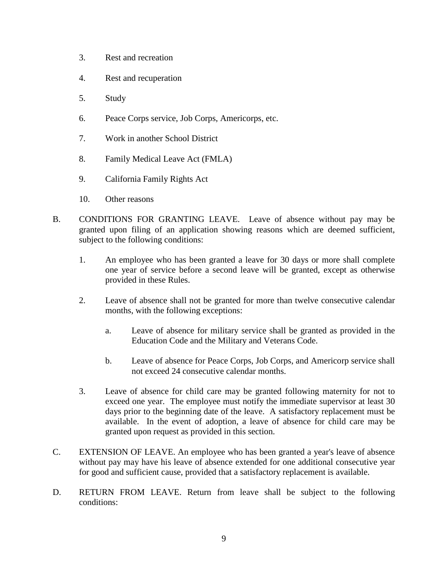- 3. Rest and recreation
- 4. Rest and recuperation
- 5. Study
- 6. Peace Corps service, Job Corps, Americorps, etc.
- 7. Work in another School District
- 8. Family Medical Leave Act (FMLA)
- 9. California Family Rights Act
- 10. Other reasons
- B. CONDITIONS FOR GRANTING LEAVE. Leave of absence without pay may be granted upon filing of an application showing reasons which are deemed sufficient, subject to the following conditions:
	- 1. An employee who has been granted a leave for 30 days or more shall complete one year of service before a second leave will be granted, except as otherwise provided in these Rules.
	- 2. Leave of absence shall not be granted for more than twelve consecutive calendar months, with the following exceptions:
		- a. Leave of absence for military service shall be granted as provided in the Education Code and the Military and Veterans Code.
		- b. Leave of absence for Peace Corps, Job Corps, and Americorp service shall not exceed 24 consecutive calendar months.
	- 3. Leave of absence for child care may be granted following maternity for not to exceed one year. The employee must notify the immediate supervisor at least 30 days prior to the beginning date of the leave. A satisfactory replacement must be available. In the event of adoption, a leave of absence for child care may be granted upon request as provided in this section.
- C. EXTENSION OF LEAVE. An employee who has been granted a year's leave of absence without pay may have his leave of absence extended for one additional consecutive year for good and sufficient cause, provided that a satisfactory replacement is available.
- D. RETURN FROM LEAVE. Return from leave shall be subject to the following conditions: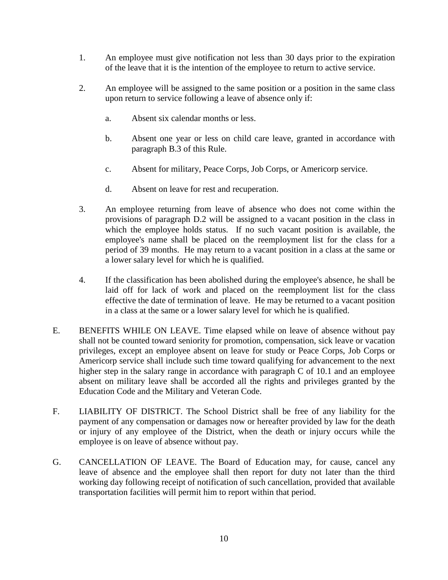- 1. An employee must give notification not less than 30 days prior to the expiration of the leave that it is the intention of the employee to return to active service.
- 2. An employee will be assigned to the same position or a position in the same class upon return to service following a leave of absence only if:
	- a. Absent six calendar months or less.
	- b. Absent one year or less on child care leave, granted in accordance with paragraph B.3 of this Rule.
	- c. Absent for military, Peace Corps, Job Corps, or Americorp service.
	- d. Absent on leave for rest and recuperation.
- 3. An employee returning from leave of absence who does not come within the provisions of paragraph D.2 will be assigned to a vacant position in the class in which the employee holds status. If no such vacant position is available, the employee's name shall be placed on the reemployment list for the class for a period of 39 months. He may return to a vacant position in a class at the same or a lower salary level for which he is qualified.
- 4. If the classification has been abolished during the employee's absence, he shall be laid off for lack of work and placed on the reemployment list for the class effective the date of termination of leave. He may be returned to a vacant position in a class at the same or a lower salary level for which he is qualified.
- E. BENEFITS WHILE ON LEAVE. Time elapsed while on leave of absence without pay shall not be counted toward seniority for promotion, compensation, sick leave or vacation privileges, except an employee absent on leave for study or Peace Corps, Job Corps or Americorp service shall include such time toward qualifying for advancement to the next higher step in the salary range in accordance with paragraph C of 10.1 and an employee absent on military leave shall be accorded all the rights and privileges granted by the Education Code and the Military and Veteran Code.
- F. LIABILITY OF DISTRICT. The School District shall be free of any liability for the payment of any compensation or damages now or hereafter provided by law for the death or injury of any employee of the District, when the death or injury occurs while the employee is on leave of absence without pay.
- G. CANCELLATION OF LEAVE. The Board of Education may, for cause, cancel any leave of absence and the employee shall then report for duty not later than the third working day following receipt of notification of such cancellation, provided that available transportation facilities will permit him to report within that period.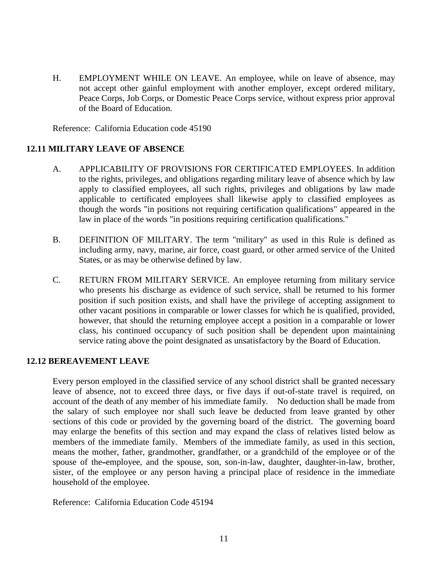H. EMPLOYMENT WHILE ON LEAVE. An employee, while on leave of absence, may not accept other gainful employment with another employer, except ordered military, Peace Corps, Job Corps, or Domestic Peace Corps service, without express prior approval of the Board of Education.

Reference: California Education code 45190

## **12.11 MILITARY LEAVE OF ABSENCE**

- A. APPLICABILITY OF PROVISIONS FOR CERTIFICATED EMPLOYEES. In addition to the rights, privileges, and obligations regarding military leave of absence which by law apply to classified employees, all such rights, privileges and obligations by law made applicable to certificated employees shall likewise apply to classified employees as though the words "in positions not requiring certification qualifications" appeared in the law in place of the words "in positions requiring certification qualifications."
- B. DEFINITION OF MILITARY. The term "military" as used in this Rule is defined as including army, navy, marine, air force, coast guard, or other armed service of the United States, or as may be otherwise defined by law.
- C. RETURN FROM MILITARY SERVICE. An employee returning from military service who presents his discharge as evidence of such service, shall be returned to his former position if such position exists, and shall have the privilege of accepting assignment to other vacant positions in comparable or lower classes for which he is qualified, provided, however, that should the returning employee accept a position in a comparable or lower class, his continued occupancy of such position shall be dependent upon maintaining service rating above the point designated as unsatisfactory by the Board of Education.

### **12.12 BEREAVEMENT LEAVE**

Every person employed in the classified service of any school district shall be granted necessary leave of absence, not to exceed three days, or five days if out-of-state travel is required, on account of the death of any member of his immediate family. No deduction shall be made from the salary of such employee nor shall such leave be deducted from leave granted by other sections of this code or provided by the governing board of the district. The governing board may enlarge the benefits of this section and may expand the class of relatives listed below as members of the immediate family. Members of the immediate family, as used in this section, means the mother, father, grandmother, grandfather, or a grandchild of the employee or of the spouse of the-employee, and the spouse, son, son-in-law, daughter, daughter-in-law, brother, sister, of the employee or any person having a principal place of residence in the immediate household of the employee.

Reference: California Education Code 45194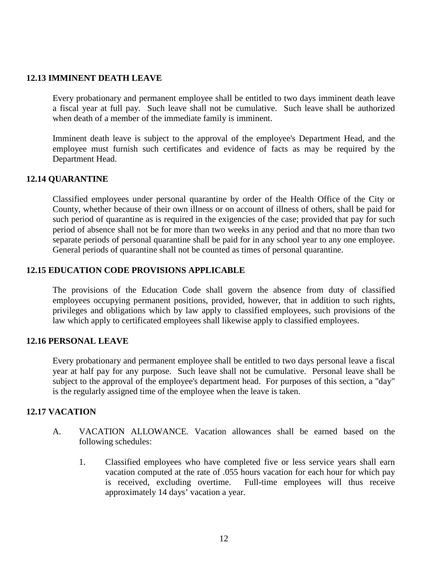### **12.13 IMMINENT DEATH LEAVE**

Every probationary and permanent employee shall be entitled to two days imminent death leave a fiscal year at full pay. Such leave shall not be cumulative. Such leave shall be authorized when death of a member of the immediate family is imminent.

Imminent death leave is subject to the approval of the employee's Department Head, and the employee must furnish such certificates and evidence of facts as may be required by the Department Head.

### **12.14 QUARANTINE**

Classified employees under personal quarantine by order of the Health Office of the City or County, whether because of their own illness or on account of illness of others, shall be paid for such period of quarantine as is required in the exigencies of the case; provided that pay for such period of absence shall not be for more than two weeks in any period and that no more than two separate periods of personal quarantine shall be paid for in any school year to any one employee. General periods of quarantine shall not be counted as times of personal quarantine.

### **12.15 EDUCATION CODE PROVISIONS APPLICABLE**

The provisions of the Education Code shall govern the absence from duty of classified employees occupying permanent positions, provided, however, that in addition to such rights, privileges and obligations which by law apply to classified employees, such provisions of the law which apply to certificated employees shall likewise apply to classified employees.

#### **12.16 PERSONAL LEAVE**

Every probationary and permanent employee shall be entitled to two days personal leave a fiscal year at half pay for any purpose. Such leave shall not be cumulative. Personal leave shall be subject to the approval of the employee's department head. For purposes of this section, a "day" is the regularly assigned time of the employee when the leave is taken.

## **12.17 VACATION**

- A. VACATION ALLOWANCE. Vacation allowances shall be earned based on the following schedules:
	- 1. Classified employees who have completed five or less service years shall earn vacation computed at the rate of .055 hours vacation for each hour for which pay is received, excluding overtime. Full-time employees will thus receive approximately 14 days' vacation a year.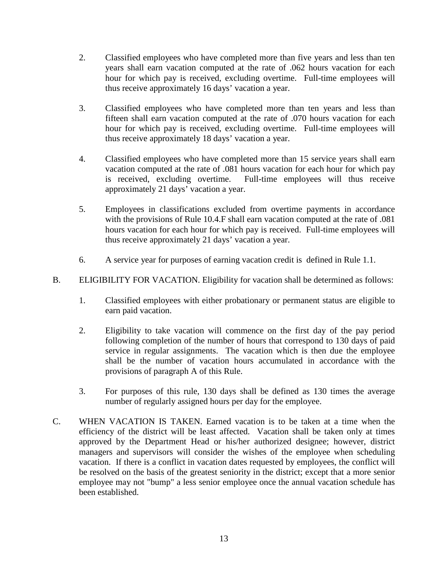- 2. Classified employees who have completed more than five years and less than ten years shall earn vacation computed at the rate of .062 hours vacation for each hour for which pay is received, excluding overtime. Full-time employees will thus receive approximately 16 days' vacation a year.
- 3. Classified employees who have completed more than ten years and less than fifteen shall earn vacation computed at the rate of .070 hours vacation for each hour for which pay is received, excluding overtime. Full-time employees will thus receive approximately 18 days' vacation a year.
- 4. Classified employees who have completed more than 15 service years shall earn vacation computed at the rate of .081 hours vacation for each hour for which pay is received, excluding overtime. Full-time employees will thus receive approximately 21 days' vacation a year.
- 5. Employees in classifications excluded from overtime payments in accordance with the provisions of Rule 10.4.F shall earn vacation computed at the rate of .081 hours vacation for each hour for which pay is received. Full-time employees will thus receive approximately 21 days' vacation a year.
- 6. A service year for purposes of earning vacation credit is defined in Rule 1.1.
- B. ELIGIBILITY FOR VACATION. Eligibility for vacation shall be determined as follows:
	- 1. Classified employees with either probationary or permanent status are eligible to earn paid vacation.
	- 2. Eligibility to take vacation will commence on the first day of the pay period following completion of the number of hours that correspond to 130 days of paid service in regular assignments. The vacation which is then due the employee shall be the number of vacation hours accumulated in accordance with the provisions of paragraph A of this Rule.
	- 3. For purposes of this rule, 130 days shall be defined as 130 times the average number of regularly assigned hours per day for the employee.
- C. WHEN VACATION IS TAKEN. Earned vacation is to be taken at a time when the efficiency of the district will be least affected. Vacation shall be taken only at times approved by the Department Head or his/her authorized designee; however, district managers and supervisors will consider the wishes of the employee when scheduling vacation. If there is a conflict in vacation dates requested by employees, the conflict will be resolved on the basis of the greatest seniority in the district; except that a more senior employee may not "bump" a less senior employee once the annual vacation schedule has been established.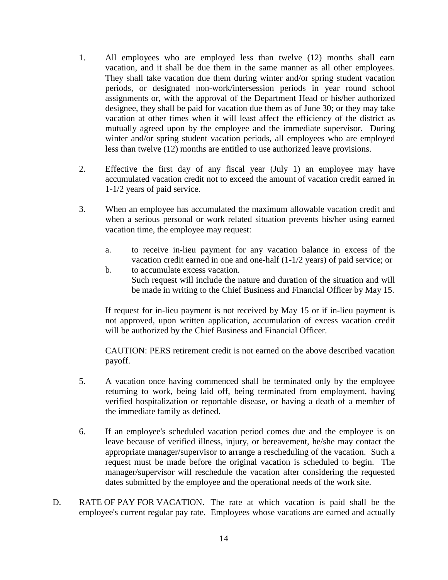- 1. All employees who are employed less than twelve (12) months shall earn vacation, and it shall be due them in the same manner as all other employees. They shall take vacation due them during winter and/or spring student vacation periods, or designated non-work/intersession periods in year round school assignments or, with the approval of the Department Head or his/her authorized designee, they shall be paid for vacation due them as of June 30; or they may take vacation at other times when it will least affect the efficiency of the district as mutually agreed upon by the employee and the immediate supervisor. During winter and/or spring student vacation periods, all employees who are employed less than twelve (12) months are entitled to use authorized leave provisions.
- 2. Effective the first day of any fiscal year (July 1) an employee may have accumulated vacation credit not to exceed the amount of vacation credit earned in 1-1/2 years of paid service.
- 3. When an employee has accumulated the maximum allowable vacation credit and when a serious personal or work related situation prevents his/her using earned vacation time, the employee may request:
	- a. to receive in-lieu payment for any vacation balance in excess of the vacation credit earned in one and one-half (1-1/2 years) of paid service; or
	- b. to accumulate excess vacation. Such request will include the nature and duration of the situation and will be made in writing to the Chief Business and Financial Officer by May 15.

If request for in-lieu payment is not received by May 15 or if in-lieu payment is not approved, upon written application, accumulation of excess vacation credit will be authorized by the Chief Business and Financial Officer.

CAUTION: PERS retirement credit is not earned on the above described vacation payoff.

- 5. A vacation once having commenced shall be terminated only by the employee returning to work, being laid off, being terminated from employment, having verified hospitalization or reportable disease, or having a death of a member of the immediate family as defined.
- 6. If an employee's scheduled vacation period comes due and the employee is on leave because of verified illness, injury, or bereavement, he/she may contact the appropriate manager/supervisor to arrange a rescheduling of the vacation. Such a request must be made before the original vacation is scheduled to begin. The manager/supervisor will reschedule the vacation after considering the requested dates submitted by the employee and the operational needs of the work site.
- D. RATE OF PAY FOR VACATION. The rate at which vacation is paid shall be the employee's current regular pay rate. Employees whose vacations are earned and actually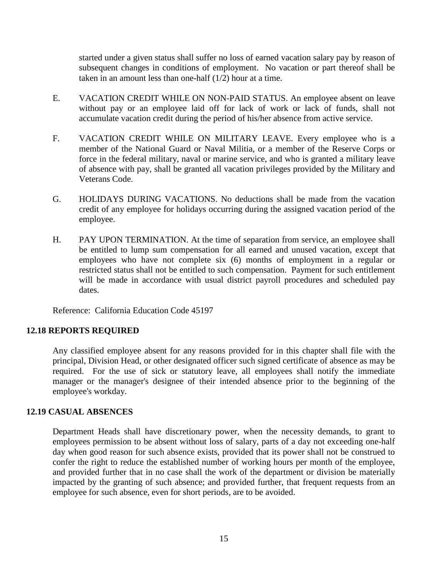started under a given status shall suffer no loss of earned vacation salary pay by reason of subsequent changes in conditions of employment. No vacation or part thereof shall be taken in an amount less than one-half (1/2) hour at a time.

- E. VACATION CREDIT WHILE ON NON-PAID STATUS. An employee absent on leave without pay or an employee laid off for lack of work or lack of funds, shall not accumulate vacation credit during the period of his/her absence from active service.
- F. VACATION CREDIT WHILE ON MILITARY LEAVE. Every employee who is a member of the National Guard or Naval Militia, or a member of the Reserve Corps or force in the federal military, naval or marine service, and who is granted a military leave of absence with pay, shall be granted all vacation privileges provided by the Military and Veterans Code.
- G. HOLIDAYS DURING VACATIONS. No deductions shall be made from the vacation credit of any employee for holidays occurring during the assigned vacation period of the employee.
- H. PAY UPON TERMINATION. At the time of separation from service, an employee shall be entitled to lump sum compensation for all earned and unused vacation, except that employees who have not complete six (6) months of employment in a regular or restricted status shall not be entitled to such compensation. Payment for such entitlement will be made in accordance with usual district payroll procedures and scheduled pay dates.

Reference: California Education Code 45197

### **12.18 REPORTS REQUIRED**

Any classified employee absent for any reasons provided for in this chapter shall file with the principal, Division Head, or other designated officer such signed certificate of absence as may be required. For the use of sick or statutory leave, all employees shall notify the immediate manager or the manager's designee of their intended absence prior to the beginning of the employee's workday.

### **12.19 CASUAL ABSENCES**

Department Heads shall have discretionary power, when the necessity demands, to grant to employees permission to be absent without loss of salary, parts of a day not exceeding one-half day when good reason for such absence exists, provided that its power shall not be construed to confer the right to reduce the established number of working hours per month of the employee, and provided further that in no case shall the work of the department or division be materially impacted by the granting of such absence; and provided further, that frequent requests from an employee for such absence, even for short periods, are to be avoided.